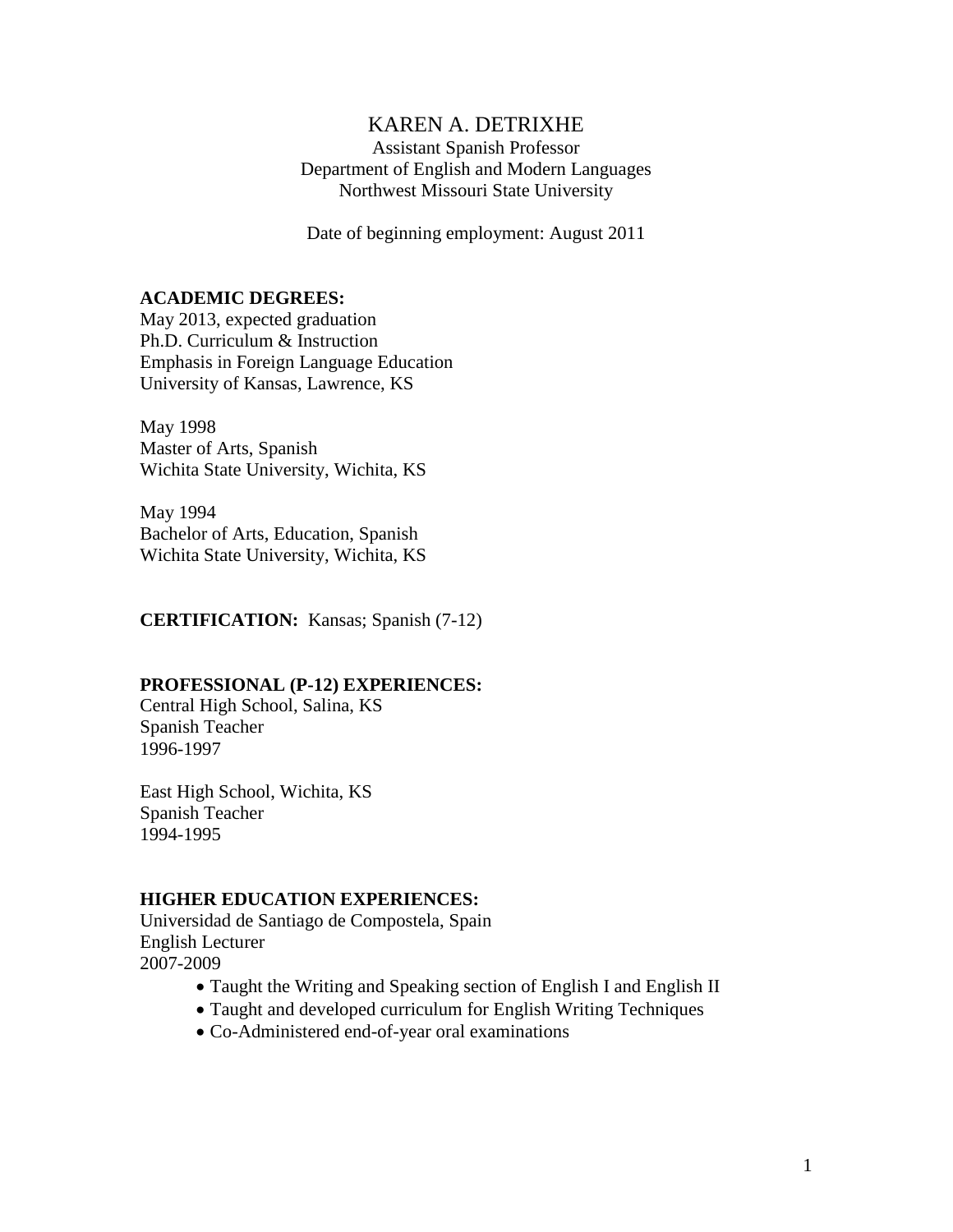# KAREN A. DETRIXHE

Assistant Spanish Professor Department of English and Modern Languages Northwest Missouri State University

Date of beginning employment: August 2011

#### **ACADEMIC DEGREES:**

May 2013, expected graduation Ph.D. Curriculum & Instruction Emphasis in Foreign Language Education University of Kansas, Lawrence, KS

May 1998 Master of Arts, Spanish Wichita State University, Wichita, KS

May 1994 Bachelor of Arts, Education, Spanish Wichita State University, Wichita, KS

**CERTIFICATION:** Kansas; Spanish (7-12)

#### **PROFESSIONAL (P-12) EXPERIENCES:**

Central High School, Salina, KS Spanish Teacher 1996-1997

East High School, Wichita, KS Spanish Teacher 1994-1995

#### **HIGHER EDUCATION EXPERIENCES:**

Universidad de Santiago de Compostela, Spain English Lecturer 2007-2009

- Taught the Writing and Speaking section of English I and English II
- Taught and developed curriculum for English Writing Techniques
- Co-Administered end-of-year oral examinations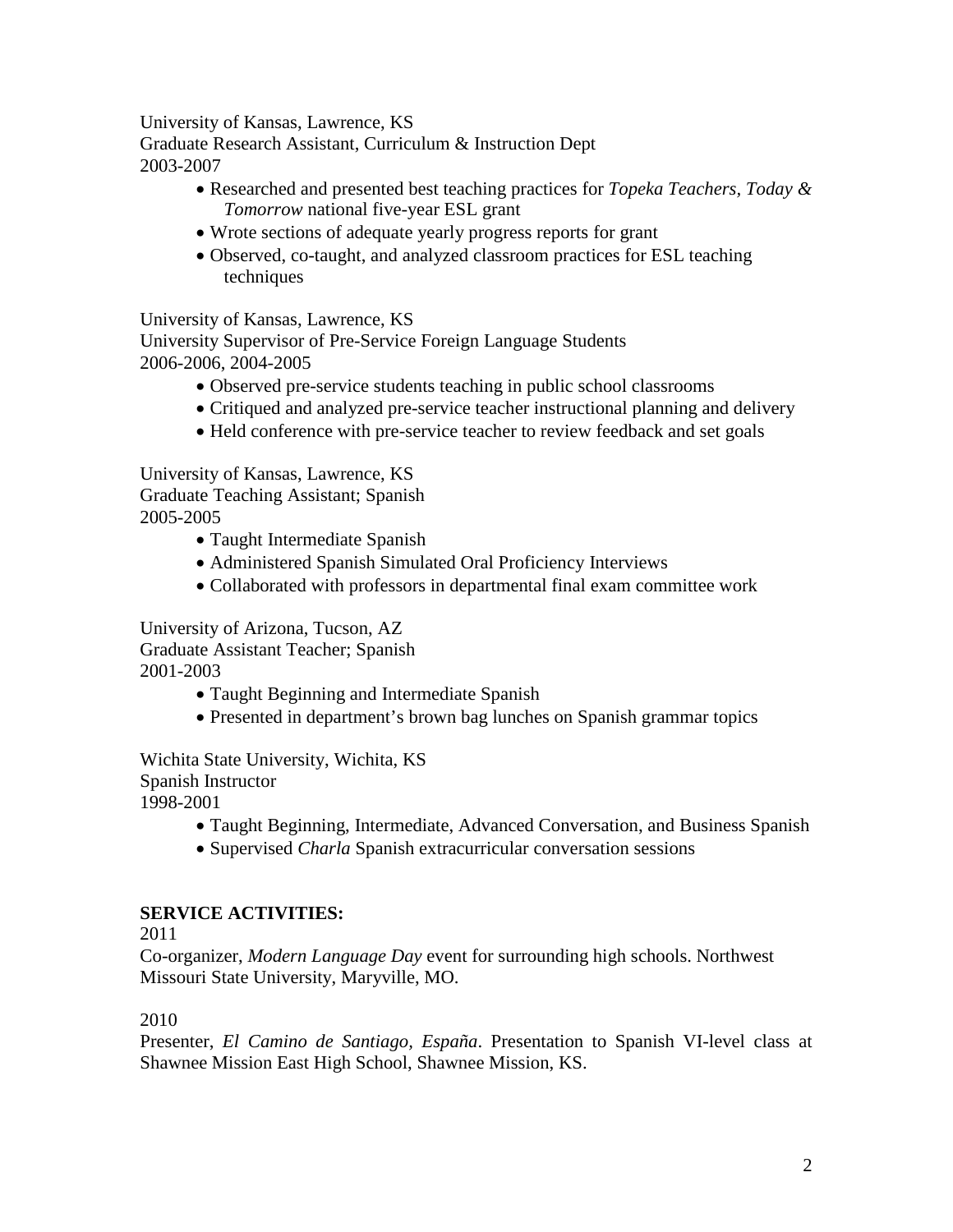University of Kansas, Lawrence, KS

Graduate Research Assistant, Curriculum & Instruction Dept 2003-2007

- Researched and presented best teaching practices for *Topeka Teachers, Today & Tomorrow* national five-year ESL grant
- Wrote sections of adequate yearly progress reports for grant
- Observed, co-taught, and analyzed classroom practices for ESL teaching techniques

University of Kansas, Lawrence, KS

University Supervisor of Pre-Service Foreign Language Students 2006-2006, 2004-2005

- Observed pre-service students teaching in public school classrooms
- Critiqued and analyzed pre-service teacher instructional planning and delivery
- Held conference with pre-service teacher to review feedback and set goals

University of Kansas, Lawrence, KS Graduate Teaching Assistant; Spanish 2005-2005

- Taught Intermediate Spanish
- Administered Spanish Simulated Oral Proficiency Interviews
- Collaborated with professors in departmental final exam committee work

University of Arizona, Tucson, AZ Graduate Assistant Teacher; Spanish 2001-2003

- Taught Beginning and Intermediate Spanish
- Presented in department's brown bag lunches on Spanish grammar topics

Wichita State University, Wichita, KS Spanish Instructor 1998-2001

- Taught Beginning, Intermediate, Advanced Conversation, and Business Spanish
- Supervised *Charla* Spanish extracurricular conversation sessions

# **SERVICE ACTIVITIES:**

2011

Co-organizer, *Modern Language Day* event for surrounding high schools. Northwest Missouri State University, Maryville, MO.

### 2010

Presenter, *El Camino de Santiago, España*. Presentation to Spanish VI-level class at Shawnee Mission East High School, Shawnee Mission, KS.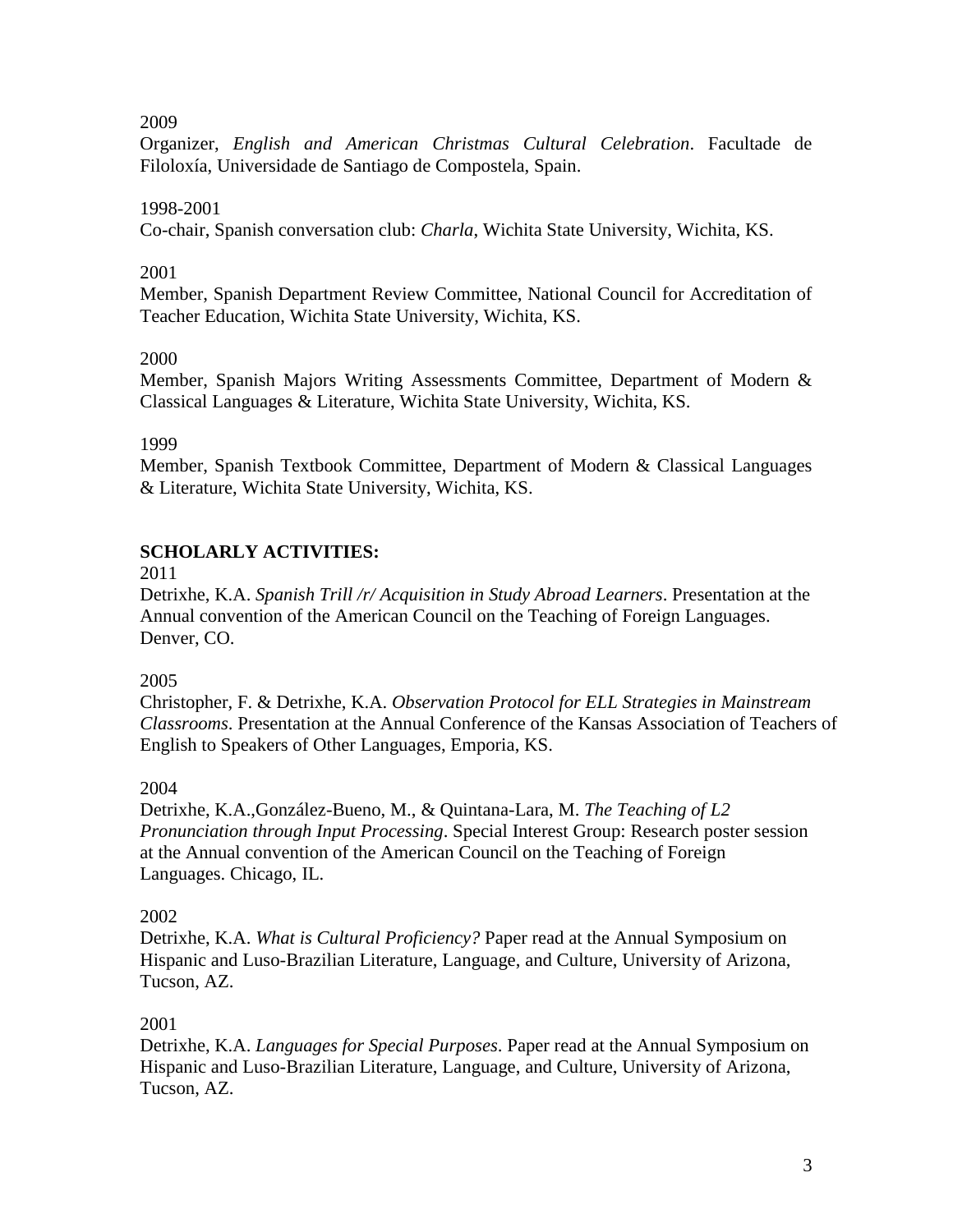2009

Organizer, *English and American Christmas Cultural Celebration*. Facultade de Filoloxía, Universidade de Santiago de Compostela, Spain.

## 1998-2001

Co-chair, Spanish conversation club: *Charla*, Wichita State University, Wichita, KS.

#### 2001

Member, Spanish Department Review Committee, National Council for Accreditation of Teacher Education, Wichita State University, Wichita, KS.

### 2000

Member, Spanish Majors Writing Assessments Committee, Department of Modern & Classical Languages & Literature, Wichita State University, Wichita, KS.

1999

Member, Spanish Textbook Committee, Department of Modern & Classical Languages & Literature, Wichita State University, Wichita, KS.

# **SCHOLARLY ACTIVITIES:**

2011

Detrixhe, K.A. *Spanish Trill /r/ Acquisition in Study Abroad Learners*. Presentation at the Annual convention of the American Council on the Teaching of Foreign Languages. Denver, CO.

### 2005

Christopher, F. & Detrixhe, K.A. *Observation Protocol for ELL Strategies in Mainstream Classrooms*. Presentation at the Annual Conference of the Kansas Association of Teachers of English to Speakers of Other Languages, Emporia, KS.

### 2004

Detrixhe, K.A.,González-Bueno, M., & Quintana-Lara, M. *The Teaching of L2 Pronunciation through Input Processing*. Special Interest Group: Research poster session at the Annual convention of the American Council on the Teaching of Foreign Languages. Chicago, IL.

### 2002

Detrixhe, K.A. *What is Cultural Proficiency?* Paper read at the Annual Symposium on Hispanic and Luso-Brazilian Literature, Language, and Culture, University of Arizona, Tucson, AZ.

### 2001

Detrixhe, K.A. *Languages for Special Purposes*. Paper read at the Annual Symposium on Hispanic and Luso-Brazilian Literature, Language, and Culture, University of Arizona, Tucson, AZ.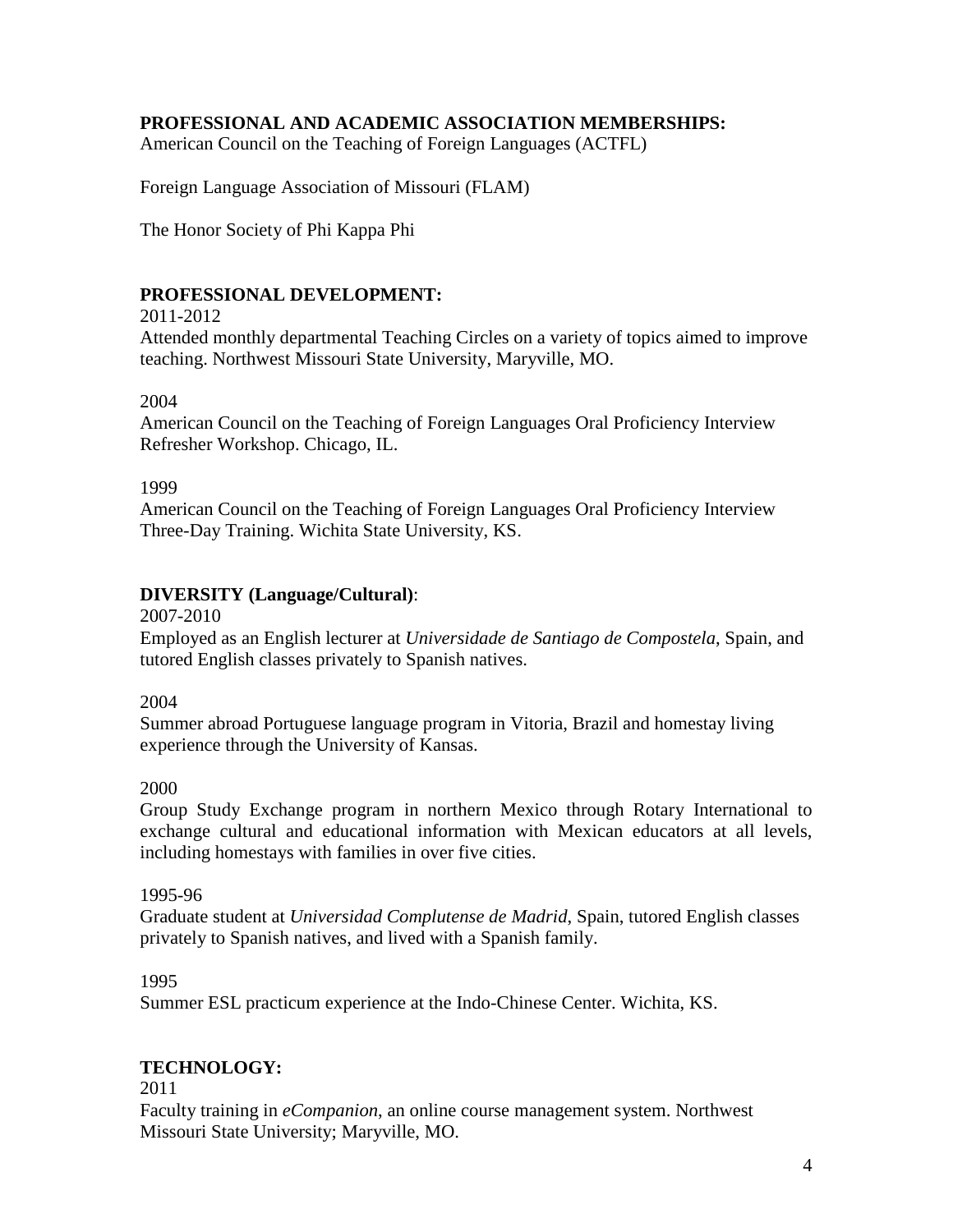### **PROFESSIONAL AND ACADEMIC ASSOCIATION MEMBERSHIPS:**

American Council on the Teaching of Foreign Languages (ACTFL)

Foreign Language Association of Missouri (FLAM)

The Honor Society of Phi Kappa Phi

### **PROFESSIONAL DEVELOPMENT:**

2011-2012

Attended monthly departmental Teaching Circles on a variety of topics aimed to improve teaching. Northwest Missouri State University, Maryville, MO.

#### 2004

American Council on the Teaching of Foreign Languages Oral Proficiency Interview Refresher Workshop. Chicago, IL.

#### 1999

American Council on the Teaching of Foreign Languages Oral Proficiency Interview Three-Day Training. Wichita State University, KS.

#### **DIVERSITY (Language/Cultural)**:

2007-2010

Employed as an English lecturer at *Universidade de Santiago de Compostela*, Spain, and tutored English classes privately to Spanish natives.

2004

Summer abroad Portuguese language program in Vitoria, Brazil and homestay living experience through the University of Kansas.

#### 2000

Group Study Exchange program in northern Mexico through Rotary International to exchange cultural and educational information with Mexican educators at all levels, including homestays with families in over five cities.

#### 1995-96

Graduate student at *Universidad Complutense de Madrid*, Spain, tutored English classes privately to Spanish natives, and lived with a Spanish family.

#### 1995

Summer ESL practicum experience at the Indo-Chinese Center. Wichita, KS.

#### **TECHNOLOGY:**

2011

Faculty training in *eCompanion*, an online course management system. Northwest Missouri State University; Maryville, MO.